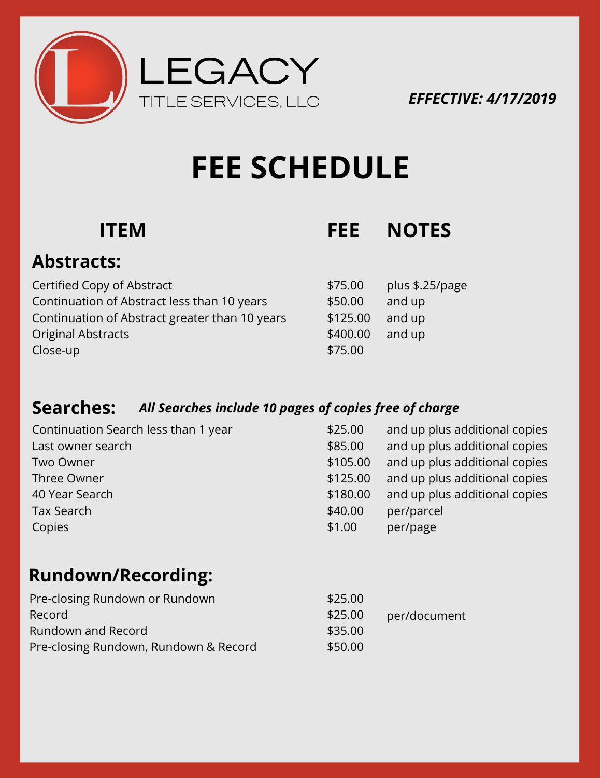

*EFFECTIVE: 4/17/2019*

# **FEE SCHEDULE**

# **ITEM FEE NOTES**

 $$.25/page$ 

## **Abstracts:**

| Certified Copy of Abstract                     | \$75.00  | plus $$.2$ |
|------------------------------------------------|----------|------------|
| Continuation of Abstract less than 10 years    | \$50.00  | and up     |
| Continuation of Abstract greater than 10 years | \$125.00 | and up     |
| <b>Original Abstracts</b>                      | \$400.00 | and up     |
| Close-up                                       | \$75.00  |            |

### **Searches:** *All Searches include 10 pages of copies free of charge*

| Continuation Search less than 1 year | \$25.00  | and up plus additional copies |
|--------------------------------------|----------|-------------------------------|
| Last owner search                    | \$85.00  | and up plus additional copies |
| Two Owner                            | \$105.00 | and up plus additional copies |
| Three Owner                          | \$125.00 | and up plus additional copies |
| 40 Year Search                       | \$180.00 | and up plus additional copies |
| Tax Search                           | \$40.00  | per/parcel                    |
| Copies                               | \$1.00   | per/page                      |

# **Rundown/Recording:**

| Pre-closing Rundown or Rundown        | \$25.00 |              |
|---------------------------------------|---------|--------------|
| Record                                | \$25.00 | per/document |
| Rundown and Record                    | \$35.00 |              |
| Pre-closing Rundown, Rundown & Record | \$50.00 |              |